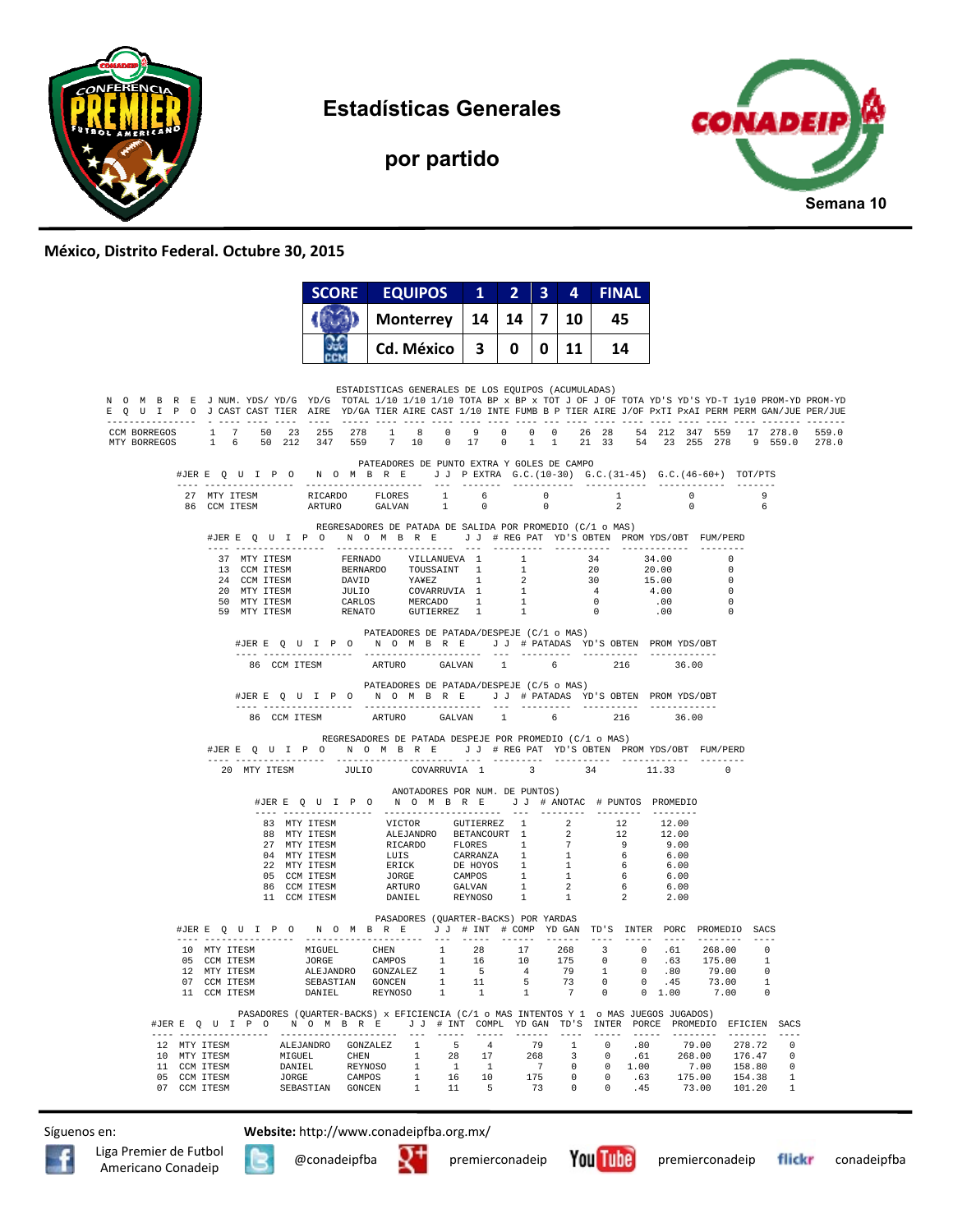

**Estadísticas Generales** 

**por partido** 



#### **México, Distrito Federal. Octubre 30, 2015**

|                              |  |                                                                                                                                                                                                                                                                                                                                                                                                                                                                        |                              | <b>SCORE</b>                                                                         | <b>EQUIPOS</b> |                                                    |         | $1 \quad 2 \quad$       |      | $3 \quad 4$ | <b>FINAL</b>                                                                                           |  |                                                           |                          |                                       |
|------------------------------|--|------------------------------------------------------------------------------------------------------------------------------------------------------------------------------------------------------------------------------------------------------------------------------------------------------------------------------------------------------------------------------------------------------------------------------------------------------------------------|------------------------------|--------------------------------------------------------------------------------------|----------------|----------------------------------------------------|---------|-------------------------|------|-------------|--------------------------------------------------------------------------------------------------------|--|-----------------------------------------------------------|--------------------------|---------------------------------------|
|                              |  |                                                                                                                                                                                                                                                                                                                                                                                                                                                                        |                              |                                                                                      |                | <b>Monterrey</b>                                   |         | $14 \mid 7$<br>14       |      | 10          | 45                                                                                                     |  |                                                           |                          |                                       |
|                              |  | siste<br>Cd. México                                                                                                                                                                                                                                                                                                                                                                                                                                                    |                              |                                                                                      | 3<br>0         |                                                    | 11<br>0 |                         | - 14 |             |                                                                                                        |  |                                                           |                          |                                       |
|                              |  | N O M B R E J NUM. YDS/YD/G YD/G TOTAL 1/10 1/10 1/10 TOTA BP x BP x TOT J OF J OF TOTA YD'S YD-T 1y10 PROM-YD PROM-YD<br>E Q U I P O J CAST CAST TIER AIRE YD/GA TIER AIRE CAST 1/10 INTE FUMB B P TIER AIRE J/OF PxTI PxAI PERM PERM GAN/JUE PER/JUE                                                                                                                                                                                                                 |                              |                                                                                      |                | ESTADISTICAS GENERALES DE LOS EQUIPOS (ACUMULADAS) |         |                         |      |             |                                                                                                        |  |                                                           |                          |                                       |
| CCM BORREGOS<br>MTY BORREGOS |  | 1 7 50 23 255 278 1 8 0 9 0 0 0 26 28 54 212 347 559 17 278.0 559.0<br>1 6 50 212 347 559                                                                                                                                                                                                                                                                                                                                                                              |                              |                                                                                      | 7 10           | $0$ 17                                             |         | $\overline{0}$          |      |             |                                                                                                        |  |                                                           |                          | 1 1 21 33 54 23 255 278 9 559.0 278.0 |
|                              |  | #JERE Q U I P O N O M B R E J J PEXTRA G.C. (10-30) G.C. (31-45) G.C. (46-60+) TOT/PTS                                                                                                                                                                                                                                                                                                                                                                                 |                              |                                                                                      |                | PATEADORES DE PUNTO EXTRA Y GOLES DE CAMPO         |         |                         |      |             |                                                                                                        |  |                                                           |                          |                                       |
|                              |  | $\begin{tabular}{cccccccc} $\texttt{--} & \texttt{---} & \texttt{---} & \texttt{---} & \texttt{---} & \texttt{---} & \texttt{---} & \texttt{---} & \texttt{---} & \texttt{---} & \texttt{---} & \texttt{---} & \texttt{---} & \texttt{---} & \texttt{---} & \texttt{---} & \texttt{---} & \texttt{---} \\ \texttt{27} & \texttt{MTY} & \texttt{ITESM} & & & \texttt{RICARDO} & & \texttt{FLORES} & & 1 & 6 & 0 & 1 & 0 & 9 \\ & & & & & & & & & & & & & & & & & & & &$ |                              | ARTURO GALVAN                                                                        |                |                                                    |         |                         |      |             |                                                                                                        |  |                                                           |                          |                                       |
|                              |  | #JERE Q U I P O N O M B R E J J # REG PAT YD'S OBTEN PROMYDS/OBT FUM/PERD                                                                                                                                                                                                                                                                                                                                                                                              |                              | REGRESADORES DE PATADA DE SALIDA POR PROMEDIO (C/1 o MAS)                            |                |                                                    |         |                         |      |             |                                                                                                        |  |                                                           |                          |                                       |
|                              |  | ---- -----------------                                                                                                                                                                                                                                                                                                                                                                                                                                                 |                              |                                                                                      |                |                                                    |         |                         |      |             |                                                                                                        |  |                                                           | $\sim$ 0                 |                                       |
|                              |  |                                                                                                                                                                                                                                                                                                                                                                                                                                                                        |                              |                                                                                      |                |                                                    |         |                         |      |             |                                                                                                        |  |                                                           | $\Omega$                 |                                       |
|                              |  |                                                                                                                                                                                                                                                                                                                                                                                                                                                                        |                              |                                                                                      |                |                                                    |         |                         |      |             | $\begin{array}{ccc} 34 & & 34.00 \\ 20 & & 20.00 \\ 30 & & 15.00 \\ 4 & & 4.00 \\ 0 & & & \end{array}$ |  |                                                           | $\sqrt{ }$<br>$\bigcirc$ |                                       |
|                              |  |                                                                                                                                                                                                                                                                                                                                                                                                                                                                        |                              |                                                                                      |                |                                                    |         |                         |      |             | $\sim$ 0                                                                                               |  | .00                                                       | - 0                      |                                       |
|                              |  |                                                                                                                                                                                                                                                                                                                                                                                                                                                                        |                              |                                                                                      |                |                                                    |         |                         |      |             | $\overline{0}$                                                                                         |  | .00                                                       |                          |                                       |
|                              |  |                                                                                                                                                                                                                                                                                                                                                                                                                                                                        |                              | #JERE Q U I P O N O M B R E J J # PATADAS YD'S OBTEN PROMYDS/OBT                     |                | PATEADORES DE PATADA/DESPEJE (C/1 o MAS)           |         |                         |      |             |                                                                                                        |  |                                                           |                          |                                       |
|                              |  |                                                                                                                                                                                                                                                                                                                                                                                                                                                                        | 86 CCM ITESM                 |                                                                                      |                | ARTURO GALVAN 1 6                                  |         |                         |      |             |                                                                                                        |  | 216 36.00                                                 |                          |                                       |
|                              |  |                                                                                                                                                                                                                                                                                                                                                                                                                                                                        |                              | #JERE Q U I P O N O M B R E J J # PATADAS YD'S OBTEN PROMYDS/OBT                     |                | PATEADORES DE PATADA/DESPEJE (C/5 o MAS)           |         |                         |      |             |                                                                                                        |  |                                                           |                          |                                       |
|                              |  |                                                                                                                                                                                                                                                                                                                                                                                                                                                                        | 86 CCM TTESM                 |                                                                                      |                | ARTURO GALVAN 1 6                                  |         |                         |      |             | 216                                                                                                    |  | 36.00                                                     |                          |                                       |
|                              |  | #JERE Q U I P O N O M B R E J J # REG PAT YD'S OBTEN PROMYDS/OBT FUM/PERD                                                                                                                                                                                                                                                                                                                                                                                              |                              | REGRESADORES DE PATADA DESPEJE POR PROMEDIO (C/1 o MAS)                              |                |                                                    |         |                         |      |             |                                                                                                        |  |                                                           |                          |                                       |
|                              |  | 20 MTY ITESM                                                                                                                                                                                                                                                                                                                                                                                                                                                           |                              | <b>JULIO</b>                                                                         |                | COVARRUVIA 1                                       |         | $\overline{\mathbf{3}}$ |      |             | 34                                                                                                     |  | 11.33                                                     | $\Omega$                 |                                       |
|                              |  |                                                                                                                                                                                                                                                                                                                                                                                                                                                                        |                              | #JERE Q U I P O                                                                      |                | ANOTADORES POR NUM. DE PUNTOS)                     |         |                         |      |             |                                                                                                        |  |                                                           |                          |                                       |
|                              |  |                                                                                                                                                                                                                                                                                                                                                                                                                                                                        | 83 MTY TTESM                 |                                                                                      |                |                                                    |         |                         |      |             |                                                                                                        |  | 12.00                                                     |                          |                                       |
|                              |  |                                                                                                                                                                                                                                                                                                                                                                                                                                                                        | 88 MTY ITESM                 |                                                                                      |                |                                                    |         |                         |      |             |                                                                                                        |  | 12.00                                                     |                          |                                       |
|                              |  |                                                                                                                                                                                                                                                                                                                                                                                                                                                                        | 27 MTY ITESM<br>04 MTY ITESM |                                                                                      |                |                                                    |         |                         |      |             |                                                                                                        |  | 9.00<br>6.00                                              |                          |                                       |
|                              |  |                                                                                                                                                                                                                                                                                                                                                                                                                                                                        | 22 MTY ITESM                 |                                                                                      |                |                                                    |         |                         |      |             |                                                                                                        |  | 6.00                                                      |                          |                                       |
|                              |  |                                                                                                                                                                                                                                                                                                                                                                                                                                                                        | 05 CCM ITESM                 | 86 CCM ITESM                                                                         |                |                                                    |         |                         |      |             |                                                                                                        |  | 6.00                                                      |                          |                                       |
|                              |  |                                                                                                                                                                                                                                                                                                                                                                                                                                                                        |                              | 11 CCM ITESM                                                                         |                |                                                    |         |                         |      |             |                                                                                                        |  | $\begin{array}{ccc} 6 & & 6.00 \\ 2 & & 2.00 \end{array}$ |                          |                                       |
|                              |  | #JERE Q U I P O N O M B R E J J # INT # COMP YD GAN TD'S INTER PORC PROMEDIO SACS                                                                                                                                                                                                                                                                                                                                                                                      |                              |                                                                                      |                | PASADORES (QUARTER-BACKS) POR YARDAS               |         |                         |      |             |                                                                                                        |  |                                                           |                          |                                       |
|                              |  |                                                                                                                                                                                                                                                                                                                                                                                                                                                                        |                              |                                                                                      |                |                                                    |         |                         |      |             |                                                                                                        |  |                                                           |                          |                                       |
|                              |  |                                                                                                                                                                                                                                                                                                                                                                                                                                                                        |                              |                                                                                      |                |                                                    |         |                         |      |             |                                                                                                        |  |                                                           |                          |                                       |
|                              |  | 10 MTY ITESM MIGUEL CHEN 1 28 17 268 3 0 .61 268.00 0<br>10 MTY ITESM MIGUEL CHEN 1 28 17 268 3 0 .61 268.00 0<br>12 MTY ITESM SEEJANDRO GONZALEZ 1 5 4 79 1 0 .80 79.00 1<br>12 MTY ITESM SEEJASTIAN GONZEN I 11 5 73 0 0 .45 73.00                                                                                                                                                                                                                                   |                              |                                                                                      |                |                                                    |         |                         |      |             |                                                                                                        |  |                                                           |                          |                                       |
|                              |  |                                                                                                                                                                                                                                                                                                                                                                                                                                                                        |                              |                                                                                      |                |                                                    |         |                         |      |             |                                                                                                        |  |                                                           |                          |                                       |
|                              |  | #JERE Q U I P O N O M B R E J J # INT COMPL YD GAN TD'S INTER PORCE PROMEDIO EFICIEN SACS<br>                                                                                                                                                                                                                                                                                                                                                                          |                              | PASADORES (QUARTER-BACKS) x EFICIENCIA (C/1 o MAS INTENTOS Y 1 o MAS JUEGOS JUGADOS) |                | $- - -$<br>$\cdots$                                |         | ______________          |      | $- - - - -$ |                                                                                                        |  |                                                           |                          | $- - - -$                             |
|                              |  | 12 MTY ITESM ALEJANDRO GONZALEZ 1 5 4 79 1 0 .80 79.00 278.72<br>10 MTY ITESM MIGUEL CHEN 1 28 17 268 3 0 .61 268.00 176.47<br>10 CM ITESM DANIEL REYNOSO 1 1 1 7 0 0 1.00 7.00 158.80<br>07 CCM ITESM JORGE CAMPOS 1 1 6 10 175 0 0 .6                                                                                                                                                                                                                                |                              |                                                                                      |                |                                                    |         |                         |      |             |                                                                                                        |  |                                                           |                          | $\overline{\phantom{0}}$              |
|                              |  |                                                                                                                                                                                                                                                                                                                                                                                                                                                                        |                              |                                                                                      |                |                                                    |         |                         |      |             |                                                                                                        |  |                                                           |                          | $\overline{0}$<br>$\qquad \qquad 0$   |
|                              |  |                                                                                                                                                                                                                                                                                                                                                                                                                                                                        |                              |                                                                                      |                |                                                    |         |                         |      |             |                                                                                                        |  |                                                           |                          | $\quad \, 1$                          |
|                              |  |                                                                                                                                                                                                                                                                                                                                                                                                                                                                        |                              |                                                                                      |                |                                                    |         |                         |      |             |                                                                                                        |  |                                                           |                          | $\overline{1}$                        |

Síguenos en: **Website:** http://www.conadeipfba.org.mx/







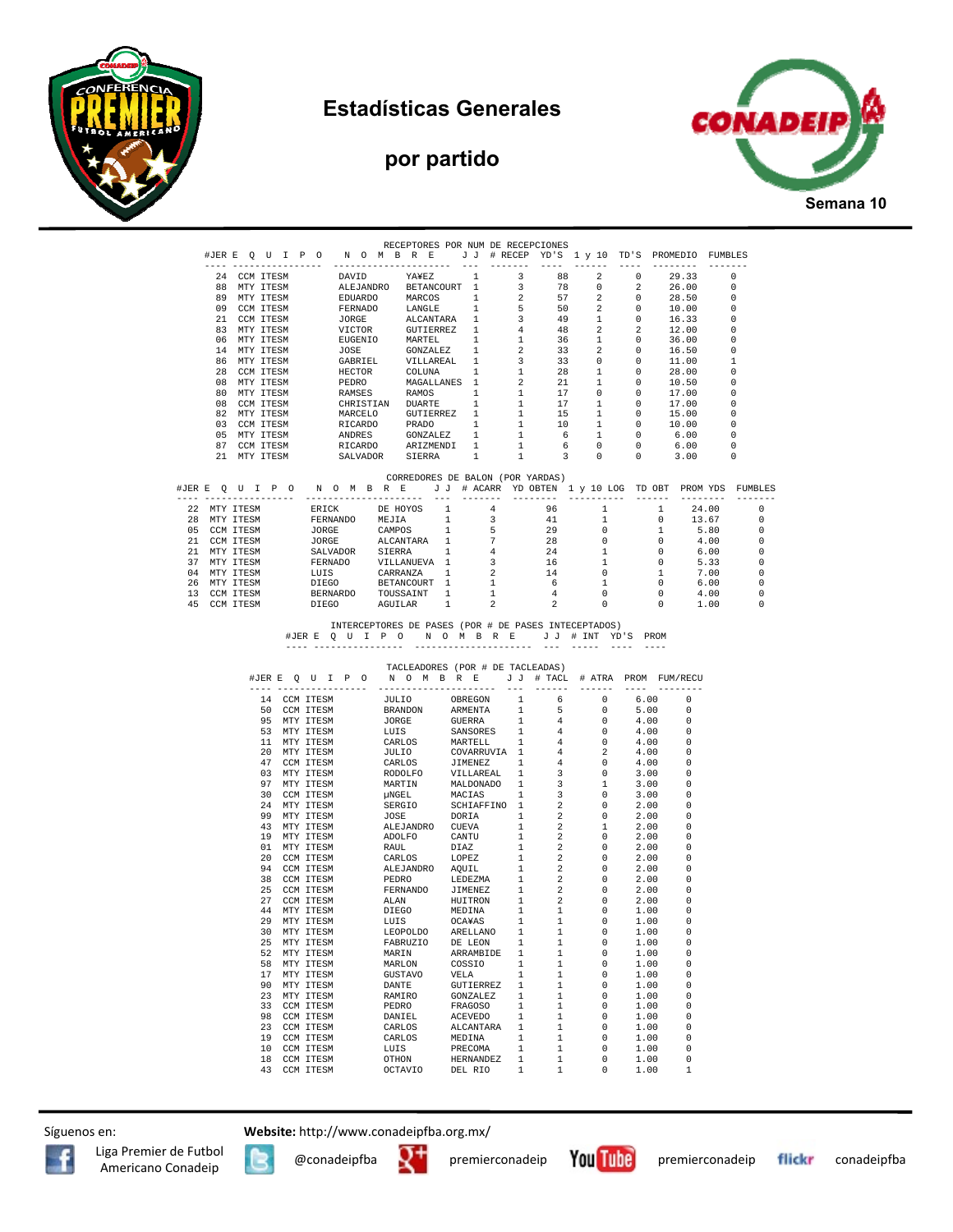

### **Estadísticas Generales**

# **por partido**



|                              | ---- ----------------        |              |  |                              |                                                                                                                                                                                                                                    | RECEPTORES POR NUM DE RECEPCIONES                                                                                                                                   |              |                             |                                           |                                                    | #JERE QUIPO NOMBRE JJ#RECEPYD'S 1 y 10 TD'S PROMEDIO FUMBLES           |                            |                                  |                                 |                                                      |                       |
|------------------------------|------------------------------|--------------|--|------------------------------|------------------------------------------------------------------------------------------------------------------------------------------------------------------------------------------------------------------------------------|---------------------------------------------------------------------------------------------------------------------------------------------------------------------|--------------|-----------------------------|-------------------------------------------|----------------------------------------------------|------------------------------------------------------------------------|----------------------------|----------------------------------|---------------------------------|------------------------------------------------------|-----------------------|
|                              | 24 CCM ITESM                 |              |  |                              |                                                                                                                                                                                                                                    | -----------------<br>DAVID YA¥EZ 1                                                                                                                                  |              | $--$                        | $- - - - - - - -$<br>- 3                  | $\cdots$<br>88                                     | $- - - - - - -$<br>$\overline{2}$                                      | $\Omega$                   |                                  | ---------<br>29.33              | -------<br>- 0                                       |                       |
|                              |                              | 88 MTY ITESM |  |                              |                                                                                                                                                                                                                                    | ALEJANDRO BETANCOURT 1                                                                                                                                              |              |                             | $\overline{\mathbf{3}}$                   | 78                                                 | $\Omega$                                                               | $\overline{2}$             |                                  | 26.00                           | - 0                                                  |                       |
|                              | 89 MTY ITESM                 |              |  |                              |                                                                                                                                                                                                                                    |                                                                                                                                                                     |              |                             | $\overline{2}$                            | 57                                                 | $\overline{\mathbf{2}}$                                                | $\overline{0}$             |                                  | 28.50                           | $\overline{\phantom{0}}$                             |                       |
| 09 CCM ITESM                 |                              |              |  |                              | ALLO ANDRO MARCOST 1<br>FERNADO MARCOS 1<br>JORGE ALCANTARA 1<br>JORGE ALCANTARA 1<br>VICTOR GUITERREZ 1<br>EUGENIO MARTEL 1<br>JOSE GONZALEZ 1<br>GABRIEL VILLAREAL 1<br>HECTOR COLUNA 1<br>HECTOR COLUNA 1<br>PEPDO MACALLANES 1 |                                                                                                                                                                     |              | $5^{\circ}$                 | 50<br>49                                  | $\overline{2}$                                     | $\overline{0}$<br>$\overline{0}$                                       |                            | 10.00                            | $\overline{\phantom{0}}$<br>- 0 |                                                      |                       |
| 21 CCM ITESM<br>83 MTY ITESM |                              |              |  |                              |                                                                                                                                                                                                                                    |                                                                                                                                                                     |              |                             | $\overline{\mathbf{3}}$<br>4 <sup>1</sup> | 48                                                 | $\mathbf{1}$<br>$\overline{2}$                                         | $\overline{2}$             |                                  | 16.33<br>12.00                  | $\overline{\phantom{0}}$                             |                       |
|                              | 06 MTY ITESM                 |              |  |                              |                                                                                                                                                                                                                                    |                                                                                                                                                                     |              |                             | 1                                         | 36                                                 | 1                                                                      | $\overline{0}$             |                                  | 36.00                           | $\overline{\phantom{0}}$                             |                       |
| 14 MTY ITESM                 |                              |              |  |                              |                                                                                                                                                                                                                                    |                                                                                                                                                                     |              |                             | $\overline{\phantom{a}}$                  | 33                                                 | $\overline{\mathbf{2}}$                                                | $\overline{0}$             |                                  | 16.50                           | $\overline{\phantom{0}}$                             |                       |
|                              | 86 MTY ITESM<br>28 CCM ITESM |              |  |                              |                                                                                                                                                                                                                                    |                                                                                                                                                                     |              |                             | $\overline{\mathbf{3}}$<br>1              | 33<br>28                                           | $\overline{0}$<br>1                                                    | $\overline{0}$<br>$\Omega$ |                                  | 11.00                           | $\overline{1}$<br>$\overline{\phantom{0}}$           |                       |
|                              | 08 MTY ITESM                 |              |  |                              |                                                                                                                                                                                                                                    |                                                                                                                                                                     |              |                             |                                           | $\frac{28}{21}$                                    | $\mathbf{1}$                                                           | $\overline{0}$             |                                  | 28.00<br>10.50                  | - 0                                                  |                       |
|                              | 80 MTY ITESM                 |              |  |                              |                                                                                                                                                                                                                                    | PEDRO MAGALLANES 1 2<br>RAMSES RAMOS 1 1<br>AMSES RAMOS 1 1                                                                                                         |              |                             | 1                                         |                                                    | $\overline{0}$                                                         | $\overline{0}$             |                                  | 17.00                           | _ი                                                   |                       |
|                              | 08 CCM ITESM                 |              |  |                              |                                                                                                                                                                                                                                    | CHRISTIAN DUARTE 1                                                                                                                                                  |              |                             | 1                                         | 17                                                 | 1                                                                      | $\overline{0}$             |                                  | 17.00                           | - 0                                                  |                       |
|                              | 82 MTY ITESM<br>03 CCM ITESM |              |  |                              |                                                                                                                                                                                                                                    | MARCELO GUTIERREZ 1<br>RICARDO PRADO 1<br>ANDRES GONZALEZ 1<br>RICARDO ARIZMENDI 1                                                                                  |              |                             | 1<br>1                                    | 15<br>10                                           | 1<br>1                                                                 | $\Omega$<br>$\overline{0}$ |                                  | 15.00<br>10.00                  | $\overline{\phantom{0}}$<br>$\overline{\phantom{0}}$ |                       |
|                              | 05 MTY ITESM                 |              |  |                              |                                                                                                                                                                                                                                    |                                                                                                                                                                     |              |                             | $\mathbf{1}$                              | 6 <sup>6</sup>                                     | $\mathbf{1}$                                                           | $\overline{0}$             |                                  | 6.00                            | $\overline{\phantom{0}}$                             |                       |
|                              | 87 CCM ITESM                 |              |  |                              |                                                                                                                                                                                                                                    |                                                                                                                                                                     |              |                             | 1                                         | 6                                                  | $\overline{0}$                                                         | $\overline{\phantom{0}}$   |                                  | 6.00                            | $\overline{\phantom{0}}$                             |                       |
|                              | 21 MTY ITESM                 |              |  |                              |                                                                                                                                                                                                                                    | SALVADOR SIERRA                                                                                                                                                     |              | $\frac{1}{2}$               | 1                                         | $\overline{\mathbf{3}}$                            | $\overline{0}$                                                         | $\overline{0}$             |                                  | 3.00                            | $\overline{\phantom{0}}$                             |                       |
|                              |                              |              |  |                              |                                                                                                                                                                                                                                    | CORREDORES DE BALON (POR YARDAS)                                                                                                                                    |              |                             |                                           |                                                    | #JERE QUIPON OMBRE JJ # ACARR YDOBTEN 1 y 10 LOG TDOBT PROMYDS FUMBLES |                            |                                  |                                 |                                                      | $- - - - - - - -$     |
|                              |                              |              |  |                              |                                                                                                                                                                                                                                    | 22 MTY ITESM ERICK DE HOYOS 1                                                                                                                                       |              | 4 <sup>1</sup>              |                                           | 96                                                 | $\mathbf{1}$                                                           |                            | $\mathbf{1}$                     | 24.00                           |                                                      | $\circ$               |
|                              | 28 MTY ITESM                 |              |  |                              |                                                                                                                                                                                                                                    | FERNANDO MEJIA                                                                                                                                                      | $\mathbf{1}$ | $\overline{\mathbf{3}}$     |                                           | 41                                                 | 1                                                                      |                            | $\overline{0}$                   | 13.67                           |                                                      | $\circ$               |
|                              | 05 CCM ITESM<br>21 CCM ITESM |              |  |                              |                                                                                                                                                                                                                                    |                                                                                                                                                                     |              | $-5$<br>$7\overline{ }$     |                                           | $29$<br>$28$<br>$24$<br>$16$                       | $\overline{0}$<br>$\circ$                                              |                            | 1<br>$\circ$                     | 5.80                            |                                                      | $^{\circ}$<br>$\circ$ |
|                              | 21 MTY ITESM                 |              |  |                              |                                                                                                                                                                                                                                    |                                                                                                                                                                     |              | $\frac{1}{4}$               |                                           |                                                    | <sup>1</sup>                                                           |                            | $\overline{0}$                   |                                 |                                                      | $^{\circ}$            |
|                              | 37 MTY ITESM                 |              |  |                              |                                                                                                                                                                                                                                    |                                                                                                                                                                     |              | $\overline{\mathbf{3}}$     |                                           |                                                    | $\mathbf{1}$                                                           |                            | $\sim$ 0                         |                                 | $4.00$<br>6.00<br>5.33                               | $\circ$               |
|                              | 04 MTY ITESM                 |              |  |                              |                                                                                                                                                                                                                                    | TRAVEL CAMPOS 1<br>JORGE CAMPOS 1<br>SALVADOR SIERRA 1<br>FERNADO VILLANUEVA 1<br>LUIS CARRANZA 1<br>DIEGO BETANCOURT 1<br>DIEGO BETANCOURT 1<br>DIEGO BETANCOURT 1 |              | $\overline{2}$              |                                           | 14                                                 | $\overline{\mathbf{0}}$                                                |                            | 1                                | 7.00                            |                                                      | $\circ$               |
|                              | 26 MTY ITESM<br>13 CCM ITESM |              |  |                              |                                                                                                                                                                                                                                    | BERNARDO TOUSSAINT 1                                                                                                                                                |              | $\overline{1}$<br>1         |                                           |                                                    | 1<br>$\overline{0}$                                                    |                            | $\overline{0}$<br>$\overline{0}$ | 6.00<br>4.00                    |                                                      | 0<br>0                |
|                              | 45 CCM ITESM                 |              |  | DIEGO                        |                                                                                                                                                                                                                                    | AGUILAR                                                                                                                                                             | $\mathbf{1}$ | $\overline{2}$              |                                           | $\begin{array}{c}\n14 \\ 6 \\ 4\n\end{array}$<br>2 | $\overline{0}$                                                         |                            | $\sim$ 0                         | 1.00                            |                                                      | 0                     |
|                              |                              |              |  |                              |                                                                                                                                                                                                                                    | TACLEADORES (POR # DE TACLEADAS)                                                                                                                                    |              |                             |                                           |                                                    |                                                                        |                            |                                  |                                 |                                                      |                       |
|                              |                              |              |  |                              |                                                                                                                                                                                                                                    |                                                                                                                                                                     |              |                             |                                           |                                                    | #JERE OUIP ON OMBRE JJ # TACL # ATRA PROM FUM/RECU                     |                            |                                  |                                 |                                                      |                       |
|                              |                              |              |  | 14 CCM ITESM<br>50 CCM ITESM |                                                                                                                                                                                                                                    | <b>JULIO</b>                                                                                                                                                        |              | OBREGON                     | 1                                         |                                                    | $\overline{0}$                                                         |                            | 6.00<br>5.00                     | 0<br>$\Omega$                   |                                                      |                       |
|                              |                              |              |  | 95 MTY ITESM                 |                                                                                                                                                                                                                                    |                                                                                                                                                                     |              |                             |                                           |                                                    |                                                                        |                            | 4.00                             | - 0                             |                                                      |                       |
|                              |                              |              |  | 53 MTY ITESM                 |                                                                                                                                                                                                                                    |                                                                                                                                                                     |              |                             |                                           |                                                    |                                                                        |                            | 4.00                             | $\Omega$                        |                                                      |                       |
|                              |                              |              |  | 11 MTY ITESM                 |                                                                                                                                                                                                                                    |                                                                                                                                                                     |              |                             |                                           |                                                    |                                                                        | 4.00                       |                                  | - 0                             |                                                      |                       |
|                              |                              |              |  | 20 MTY ITESM<br>47 CCM ITESM |                                                                                                                                                                                                                                    |                                                                                                                                                                     |              |                             |                                           |                                                    |                                                                        |                            | 4.00<br>4.00                     | $\overline{\phantom{0}}$<br>- 0 |                                                      |                       |
|                              |                              |              |  | 03 MTY ITESM                 |                                                                                                                                                                                                                                    |                                                                                                                                                                     |              |                             |                                           |                                                    |                                                                        | 3.00                       |                                  | - 0                             |                                                      |                       |
|                              |                              |              |  | 97 MTY ITESM                 |                                                                                                                                                                                                                                    |                                                                                                                                                                     |              |                             |                                           |                                                    |                                                                        | 3.00                       |                                  | 0                               |                                                      |                       |
|                              |                              |              |  | 30 CCM ITESM                 |                                                                                                                                                                                                                                    |                                                                                                                                                                     |              |                             |                                           |                                                    |                                                                        |                            | 3.00                             | 0<br>$\Omega$                   |                                                      |                       |
|                              |                              |              |  | 24 MTY ITESM<br>99 MTY ITESM |                                                                                                                                                                                                                                    |                                                                                                                                                                     |              |                             |                                           |                                                    |                                                                        | 2.00                       | 2.00                             | 0                               |                                                      |                       |
|                              |                              |              |  | 43 MTY ITESM                 |                                                                                                                                                                                                                                    |                                                                                                                                                                     |              |                             |                                           |                                                    |                                                                        | 2.00                       |                                  | $\Omega$                        |                                                      |                       |
|                              |                              |              |  | 19 MTY ITESM                 |                                                                                                                                                                                                                                    |                                                                                                                                                                     |              |                             |                                           |                                                    |                                                                        |                            | 2.00                             | . റ                             |                                                      |                       |
|                              |                              |              |  | 01 MTY ITESM<br>20 CCM ITESM |                                                                                                                                                                                                                                    |                                                                                                                                                                     |              |                             |                                           |                                                    |                                                                        |                            | 2.00                             | - 0<br>- 0                      |                                                      |                       |
|                              |                              |              |  | 94 CCM ITESM                 |                                                                                                                                                                                                                                    |                                                                                                                                                                     |              |                             |                                           |                                                    |                                                                        | 2.00                       | 2.00                             | $\Omega$                        |                                                      |                       |
|                              |                              |              |  | 38 CCM ITESM                 |                                                                                                                                                                                                                                    |                                                                                                                                                                     |              |                             |                                           |                                                    |                                                                        |                            | 2.00                             | - 0                             |                                                      |                       |
|                              |                              |              |  | 25 CCM ITESM                 |                                                                                                                                                                                                                                    |                                                                                                                                                                     |              |                             |                                           |                                                    |                                                                        |                            | 2.00                             | - 0                             |                                                      |                       |
|                              |                              |              |  | 27 CCM ITESM                 |                                                                                                                                                                                                                                    |                                                                                                                                                                     |              |                             |                                           |                                                    |                                                                        | 2.00                       |                                  | - 0<br>$\Omega$                 |                                                      |                       |
|                              |                              |              |  | 44 MTY ITESM<br>29 MTY ITESM |                                                                                                                                                                                                                                    |                                                                                                                                                                     |              |                             |                                           |                                                    |                                                                        |                            | 1.00<br>1.00                     |                                 |                                                      |                       |
|                              |                              |              |  | 30 MTY ITESM                 |                                                                                                                                                                                                                                    | LEOPOLDO ARELLANO 1                                                                                                                                                 |              |                             |                                           | 1                                                  | $\overline{\phantom{0}}$                                               |                            | 1.00                             |                                 |                                                      |                       |
|                              |                              |              |  | 25 MTY ITESM                 |                                                                                                                                                                                                                                    | FABRUZIO DE LEON                                                                                                                                                    |              |                             | $\mathbf{1}$                              | $\mathbf{1}$                                       | $\overline{\phantom{0}}$                                               |                            | 1.00                             | 0                               |                                                      |                       |
|                              |                              |              |  | 52 MTY ITESM<br>58 MTY ITESM |                                                                                                                                                                                                                                    | MARIN<br>MARLON                                                                                                                                                     |              | ARRAMBIDE 1<br>COSSIO 1     |                                           | $\mathbf{1}$<br>1                                  | $\overline{\phantom{0}}$<br>$\overline{\phantom{0}}$                   |                            | 1.00<br>1.00                     | 0<br>0                          |                                                      |                       |
|                              |                              |              |  | 17 MTY ITESM                 |                                                                                                                                                                                                                                    | GUSTAVO                                                                                                                                                             |              | VELA                        | 1                                         | $\mathbf{1}$                                       | $\overline{\phantom{0}}$                                               | 1.00                       |                                  | 0                               |                                                      |                       |
|                              |                              |              |  | 90 MTY ITESM                 |                                                                                                                                                                                                                                    | DANTE                                                                                                                                                               |              | GUTIERREZ 1                 |                                           | $\overline{1}$                                     | $\overline{0}$                                                         |                            | 1.00                             | $\Omega$                        |                                                      |                       |
|                              |                              |              |  | 23 MTY ITESM                 |                                                                                                                                                                                                                                    | RAMIRO                                                                                                                                                              |              | GONZALEZ 1                  |                                           | $\overline{1}$                                     | $\overline{\phantom{0}}$                                               | 1.00                       |                                  | $^{\circ}$<br>$\Omega$          |                                                      |                       |
|                              |                              |              |  | 33 CCM ITESM<br>98 CCM ITESM |                                                                                                                                                                                                                                    | PEDRO<br>DANIEL                                                                                                                                                     |              | FRAGOSO<br>ACEVEDO          | 1<br>1                                    | $\mathbf{1}$<br>$\mathbf{1}$                       | $\overline{\phantom{0}}$<br>$\overline{0}$                             | 1.00                       | 1.00                             | 0                               |                                                      |                       |
|                              |                              |              |  | 23 CCM ITESM                 |                                                                                                                                                                                                                                    | CARLOS                                                                                                                                                              |              | ALCANTARA 1                 |                                           | $\mathbf{1}$                                       | $\overline{0}$                                                         | 1.00                       |                                  | 0                               |                                                      |                       |
|                              |                              |              |  | 19 CCM ITESM                 |                                                                                                                                                                                                                                    | CARLOS                                                                                                                                                              |              | MEDINA 1                    |                                           | $\mathbf{1}$                                       | $\overline{0}$                                                         | 1.00                       |                                  | 0                               |                                                      |                       |
|                              |                              |              |  | 10 CCM ITESM<br>18 CCM ITESM |                                                                                                                                                                                                                                    | LUIS<br>OTHON                                                                                                                                                       |              | PRECOMA<br><b>HERNANDEZ</b> | 1<br>1                                    | $\mathbf{1}$<br>1                                  | $\overline{0}$<br>$\overline{0}$                                       |                            | 1.00<br>1.00                     | $\Omega$<br>0                   |                                                      |                       |

Síguenos en: **Website:** http://www.conadeipfba.org.mx/